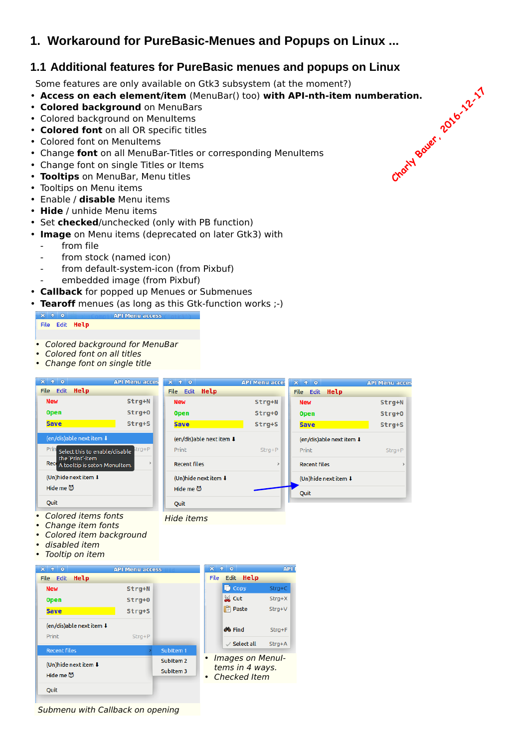# **1. Workaround for PureBasic-Menues and Popups on Linux ...**

# **1.1 Additional features for PureBasic menues and popups on Linux**

Some features are only available on Gtk3 subsystem (at the moment?)

- **Access on each element/item** (MenuBar() too) **with API-nth-item numberation.** Charly Bauer, 2016-12-17
- **Colored background** on MenuBars
- Colored background on MenuItems
- **Colored font** on all OR specific titles
- Colored font on MenuItems
- Change **font** on all MenuBar-Titles or corresponding MenuItems
- Change font on single Titles or Items
- **Tooltips** on MenuBar, Menu titles
- Tooltips on Menu items
- Enable / **disable** Menu items
- **Hide** / unhide Menu items
- Set **checked**/unchecked (only with PB function)
- **Image** on Menu items (deprecated on later Gtk3) with
	- from file
	- from stock (named icon)
	- from default-system-icon (from Pixbuf) embedded image (from Pixbuf)
- **Callback** for popped up Menues or Submenues
- **Tearoff** menues (as long as this Gtk-function works ;-)

#### **API Menu access**  $\mathbf{x}$  + 0

File Edit Help

- *• Colored background for MenuBar*
- *• Colored font on all titles*
- *• Change font on single title*

| $\uparrow$ 0<br>$\mathbf{x}$                             | <b>API Menu acces</b>  | $x + 0$              |                                                  | <b>API Menu acces</b> | $x \rightarrow \infty$                                 | <b>API Menu acces</b> |
|----------------------------------------------------------|------------------------|----------------------|--------------------------------------------------|-----------------------|--------------------------------------------------------|-----------------------|
| File Edit Help                                           |                        | File Edit Help       |                                                  |                       | File Edit Help                                         |                       |
| <b>New</b>                                               | Strg+N                 | <b>New</b>           |                                                  | Strg+N                | <b>New</b>                                             | Strg+N                |
| <b>Open</b>                                              | Strg+0                 | <b>Open</b>          |                                                  | Strg+0                | <b>Open</b>                                            | Strg+0                |
| <b>Save</b>                                              | Strg+S                 | <b>Save</b>          |                                                  | Strg+S                | <b>Save</b>                                            | Strg+S                |
| (en/dis)able next item !                                 |                        |                      | (en/dis)able next item ↓                         |                       | (en/dis)able next item ↓                               |                       |
| Prin<br>Select this to enable/disable                    | $trg + P$              | Print                |                                                  | $Strg + P$            | Print                                                  | $Strg + P$            |
| the 'Print'-item<br>Rece<br>A tooltip is seton MenuItem. | $\mathbf{z}$           | <b>Recent files</b>  |                                                  | $\rightarrow$         | <b>Recent files</b>                                    | $\,$                  |
| (Un)hide next item $\downarrow$                          |                        |                      | (Un)hide next item ↓                             |                       | (Un)hide next item $\textcolor{red}{\pmb{\downarrow}}$ |                       |
| Hide me (5)                                              |                        | Hide me (5)          |                                                  |                       | Quit                                                   |                       |
| Quit                                                     |                        | <b>Quit</b>          |                                                  |                       |                                                        |                       |
| disabled item<br>Tooltip on item<br>$X + 0$              | <b>API Menu access</b> |                      | $X + 0$                                          | <b>APII</b>           |                                                        |                       |
| File Edit Help                                           |                        |                      | File Edit Help                                   |                       |                                                        |                       |
| <b>New</b>                                               | Strg+N                 |                      | <b>D</b> Copy                                    | $Strg + C$            |                                                        |                       |
| <b>Open</b>                                              | Strg+0                 |                      | $\bowtie$ Cut                                    | $Strg+X$              |                                                        |                       |
| <b>Save</b>                                              | Strg+S                 |                      | <b>Paste</b>                                     | Strg+V                |                                                        |                       |
| (en/dis)able next item ↓                                 |                        |                      | <b>de</b> Find                                   | $Strg + F$            |                                                        |                       |
| Print                                                    | $Strg + P$             |                      | $\vee$ Select all                                | $Strg+A$              |                                                        |                       |
| <b>Recent files</b>                                      |                        | SubItem 1            |                                                  |                       |                                                        |                       |
| (Un)hide next item ↓                                     |                        | SubItem <sub>2</sub> | Images on Menul-<br>$\bullet$<br>tems in 4 ways. |                       |                                                        |                       |

*Submenu with Callback on opening*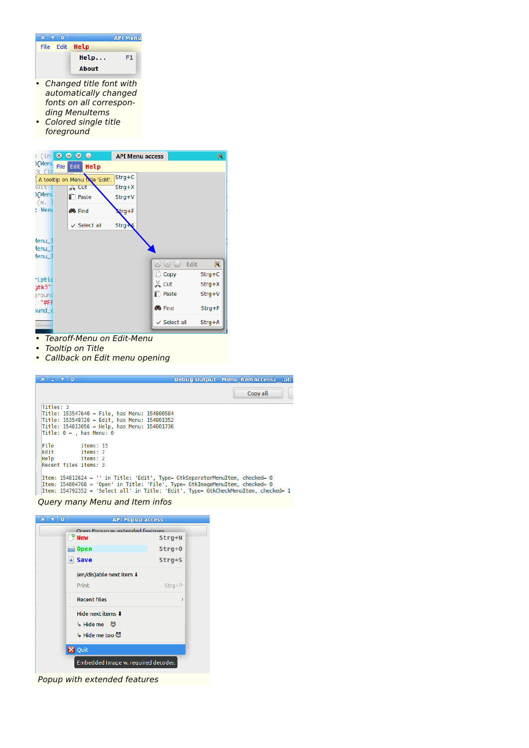|                         |  |                | <b>API Menu</b> |
|-------------------------|--|----------------|-----------------|
|                         |  | File Edit Help |                 |
|                         |  | Help           | F1              |
|                         |  | About          |                 |
| Changed title font with |  |                |                 |

- *automatically changed fonts on all corresponding MenuItems*
- *• Colored single title foreground*



- *• Tearoff-Menu on Edit-Menu*
- *• Tooltip on Title*
- *• Callback on Edit menu opening*

| $X = 0$                                                                                                                                                        | Debug Output - Menu ItemAccess2 .pb |
|----------------------------------------------------------------------------------------------------------------------------------------------------------------|-------------------------------------|
|                                                                                                                                                                | Copy all                            |
| Titles: 3                                                                                                                                                      |                                     |
| Title: 153547640 = File, has Menu: 154800584                                                                                                                   |                                     |
| Title: 153548720 = Edit, has Menu: 154801352                                                                                                                   |                                     |
| Title: 154813056 = Help, has Menu: 154801736                                                                                                                   |                                     |
| $\mathsf{Title: 0 = .}$ has Menu: 0                                                                                                                            |                                     |
| File<br>items: 13<br>Edit<br>items: 7                                                                                                                          |                                     |
| Help items: 2                                                                                                                                                  |                                     |
| Recent files items: 3                                                                                                                                          |                                     |
| Item: 154812624 = '' in Title: 'Edit', Type= GtkSeparatorMenuItem, checked= 0<br>Item: 154804768 = 'Open' in Title: 'File', Type= GtkImageMenuItem, checked= 0 |                                     |
| Item: 154792352 = 'Select all' in Title: 'Edit', Type= GtkCheckMenuItem, checked= 1                                                                            |                                     |

*Query many Menu and Item infos*

| l o | <b>API Popup access</b>                    |               |
|-----|--------------------------------------------|---------------|
|     | Onen Popun wileytended features<br>$9$ New | Strg+N        |
|     | <b>Open</b>                                | Strg+0        |
|     | + Save                                     | Strg+S        |
|     | (en/dis)able next item 4                   |               |
|     | Print                                      | $Strg+P$      |
|     | <b>Recent files</b>                        | $\mathcal{P}$ |
|     | Hide next items 1                          |               |
|     | 4 Hide me ③                                |               |
|     | ↓ Hide me too ◎                            |               |
|     | <b>X</b> Quit                              |               |
|     | Embedded Image w. required decoder.        |               |

*Popup with extended features*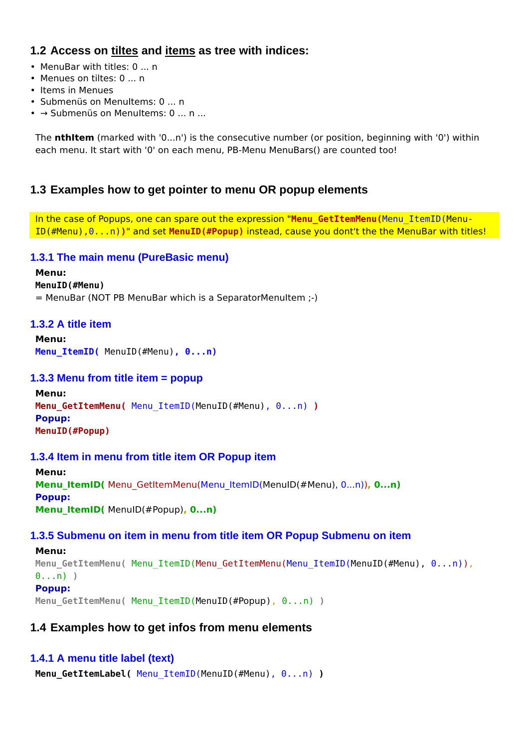# **1.2 Access on tiltes and items as tree with indices:**

- MenuBar with titles: 0 ... n
- Menues on tiltes: 0 ... n
- Items in Menues
- Submenüs on MenuItems: 0 ... n
- → Submenüs on MenuItems: 0 ... n ...

The **nthItem** (marked with '0...n') is the consecutive number (or position, beginning with '0') within each menu. It start with '0' on each menu, PB-Menu MenuBars() are counted too!

### **1.3 Examples how to get pointer to menu OR popup elements**

In the case of Popups, one can spare out the expression "**Menu\_GetItemMenu(**Menu\_ItemID(Menu-ID(#Menu),0...n)**)**" and set **MenuID(#Popup)** instead, cause you dont't the the MenuBar with titles!

### **1.3.1 The main menu (PureBasic menu)**

# **Menu:**

**MenuID(#Menu)**

= MenuBar (NOT PB MenuBar which is a SeparatorMenuItem ;-)

### **1.3.2 A title item**

**Menu: Menu\_ItemID(** MenuID(#Menu)**, 0...n)**

### **1.3.3 Menu from title item = popup**

```
Menu:
Menu_GetItemMenu( Menu_ItemID(MenuID(#Menu), 0...n) )
Popup:
MenuID(#Popup)
```
### **1.3.4 Item in menu from title item OR Popup item**

```
Menu:
Menu_ItemID( Menu_GetItemMenu(Menu_ItemID(MenuID(#Menu), 0...n)), 0...n)
Popup:
Menu_ItemID( MenuID(#Popup), 0...n)
```
### **1.3.5 Submenu on item in menu from title item OR Popup Submenu on item**

```
Menu:
Menu_GetItemMenu( Menu_ItemID(Menu_GetItemMenu(Menu_ItemID(MenuID(#Menu), 0...n)),
0...n) )
Popup:
Menu_GetItemMenu( Menu_ItemID(MenuID(#Popup), 0...n) )
```
## **1.4 Examples how to get infos from menu elements**

### **1.4.1 A menu title label (text)**

**Menu\_GetItemLabel(** Menu\_ItemID(MenuID(#Menu), 0...n) **)**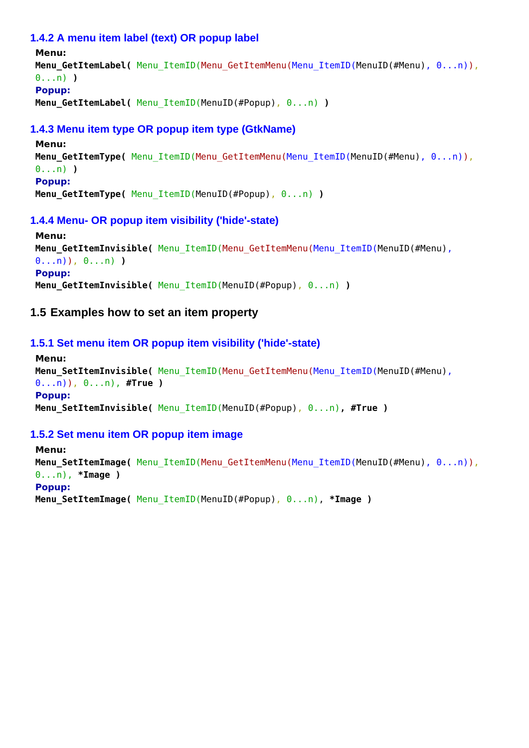### **1.4.2 A menu item label (text) OR popup label**

```
Menu:
Menu_GetItemLabel( Menu_ItemID(Menu_GetItemMenu(Menu_ItemID(MenuID(#Menu), 0...n)),
0...n) )
Popup:
Menu_GetItemLabel( Menu_ItemID(MenuID(#Popup), 0...n) )
```
### **1.4.3 Menu item type OR popup item type (GtkName)**

```
Menu:
Menu GetItemType( Menu ItemID(Menu GetItemMenu(Menu ItemID(MenuID(#Menu), 0...n)),
0...n) )
Popup:
Menu_GetItemType( Menu_ItemID(MenuID(#Popup), 0...n) )
```
### **1.4.4 Menu- OR popup item visibility ('hide'-state)**

```
Menu:
Menu_GetItemInvisible( Menu_ItemID(Menu_GetItemMenu(Menu_ItemID(MenuID(#Menu),
0...n)), 0...n) )
Popup:
Menu_GetItemInvisible( Menu_ItemID(MenuID(#Popup), 0...n) )
```
## **1.5 Examples how to set an item property**

### **1.5.1 Set menu item OR popup item visibility ('hide'-state)**

```
Menu:
Menu_SetItemInvisible( Menu_ItemID(Menu_GetItemMenu(Menu_ItemID(MenuID(#Menu),
0...n)), 0...n), #True )
Popup:
Menu_SetItemInvisible( Menu_ItemID(MenuID(#Popup), 0...n), #True )
```
### **1.5.2 Set menu item OR popup item image**

```
Menu:
Menu SetItemImage( Menu ItemID(Menu GetItemMenu(Menu ItemID(MenuID(#Menu), 0...n)),
0...n), *Image )
Popup:
Menu_SetItemImage( Menu_ItemID(MenuID(#Popup), 0...n), *Image )
```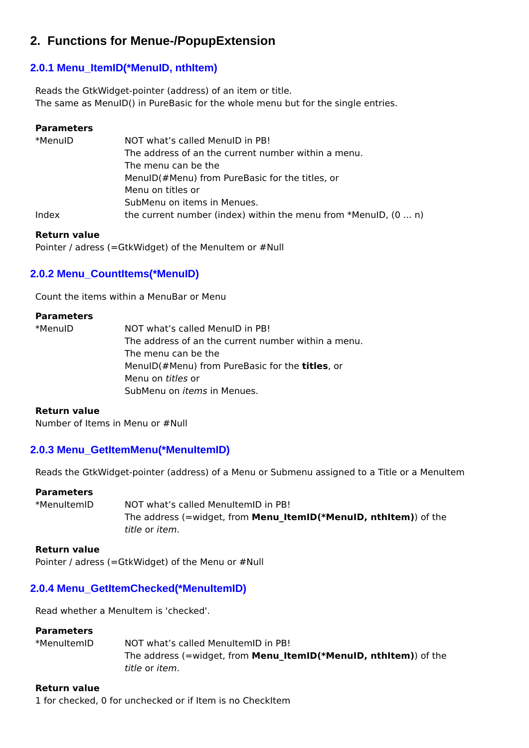# **2. Functions for Menue-/PopupExtension**

### **2.0.1 Menu\_ItemID(\*MenuID, nthItem)**

Reads the GtkWidget-pointer (address) of an item or title. The same as MenuID() in PureBasic for the whole menu but for the single entries.

### **Parameters**

| *MenuID | NOT what's called MenulD in PB!                                        |  |  |  |
|---------|------------------------------------------------------------------------|--|--|--|
|         | The address of an the current number within a menu.                    |  |  |  |
|         | The menu can be the                                                    |  |  |  |
|         | MenuID(#Menu) from PureBasic for the titles, or                        |  |  |  |
|         | Menu on titles or                                                      |  |  |  |
|         | SubMenu on items in Menues.                                            |  |  |  |
| Index   | the current number (index) within the menu from *MenuID, $(0 \dots n)$ |  |  |  |

#### **Return value**

Pointer / adress (=GtkWidget) of the MenuItem or #Null

## **2.0.2 Menu\_CountItems(\*MenuID)**

Count the items within a MenuBar or Menu

#### **Parameters**

\*MenuID NOT what's called MenuID in PB! The address of an the current number within a menu. The menu can be the MenuID(#Menu) from PureBasic for the **titles**, or Menu on *titles* or SubMenu on *items* in Menues.

#### **Return value**

Number of Items in Menu or #Null

### **2.0.3 Menu\_GetItemMenu(\*MenuItemID)**

Reads the GtkWidget-pointer (address) of a Menu or Submenu assigned to a Title or a MenuItem

### **Parameters**

\*MenuItemID NOT what's called MenuItemID in PB! The address (=widget, from **Menu\_ItemID(\*MenuID, nthItem)**) of the *title* or *item*.

#### **Return value**

Pointer / adress (=GtkWidget) of the Menu or #Null

### **2.0.4 Menu\_GetItemChecked(\*MenuItemID)**

Read whether a MenuItem is 'checked'.

### **Parameters**

\*MenuItemID NOT what's called MenuItemID in PB! The address (=widget, from **Menu\_ItemID(\*MenuID, nthItem)**) of the *title* or *item*.

### **Return value**

1 for checked, 0 for unchecked or if Item is no CheckItem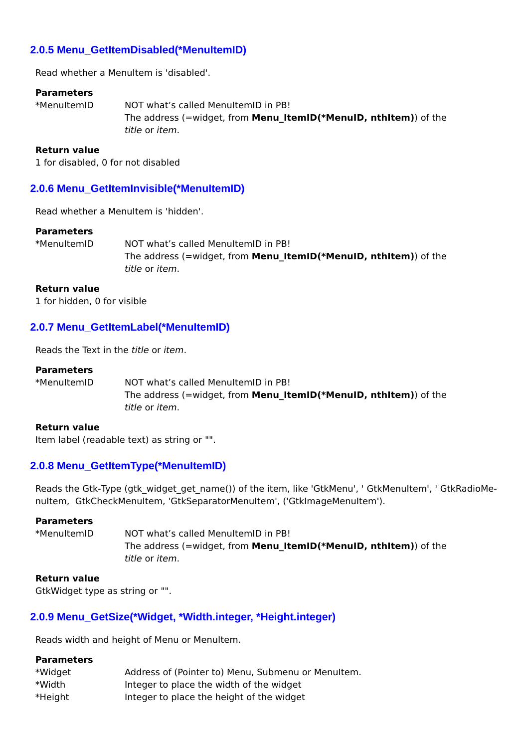### **2.0.5 Menu\_GetItemDisabled(\*MenuItemID)**

Read whether a MenuItem is 'disabled'.

#### **Parameters**

\*MenuItemID NOT what's called MenuItemID in PB! The address (=widget, from **Menu\_ItemID(\*MenuID, nthItem)**) of the *title* or *item*.

#### **Return value**

1 for disabled, 0 for not disabled

#### **2.0.6 Menu\_GetItemInvisible(\*MenuItemID)**

Read whether a MenuItem is 'hidden'.

#### **Parameters**

\*MenuItemID NOT what's called MenuItemID in PB! The address (=widget, from **Menu\_ItemID(\*MenuID, nthItem)**) of the *title* or *item*.

#### **Return value**

1 for hidden, 0 for visible

### **2.0.7 Menu\_GetItemLabel(\*MenuItemID)**

Reads the Text in the *title* or *item*.

#### **Parameters**

\*MenuItemID NOT what's called MenuItemID in PB! The address (=widget, from **Menu\_ItemID(\*MenuID, nthItem)**) of the *title* or *item*.

#### **Return value**

Item label (readable text) as string or "".

### **2.0.8 Menu\_GetItemType(\*MenuItemID)**

Reads the Gtk-Type (gtk\_widget\_get\_name()) of the item, like 'GtkMenu', ' GtkMenuItem', ' GtkRadioMenuItem, GtkCheckMenuItem, 'GtkSeparatorMenuItem', ('GtkImageMenuItem').

#### **Parameters**

\*MenuItemID NOT what's called MenuItemID in PB! The address (=widget, from **Menu\_ItemID(\*MenuID, nthItem)**) of the *title* or *item*.

#### **Return value**

GtkWidget type as string or "".

### **2.0.9 Menu\_GetSize(\*Widget, \*Width.integer, \*Height.integer)**

Reads width and height of Menu or MenuItem.

### **Parameters** \*Widget Address of (Pointer to) Menu, Submenu or MenuItem. \*Width Integer to place the width of the widget \*Height Integer to place the height of the widget